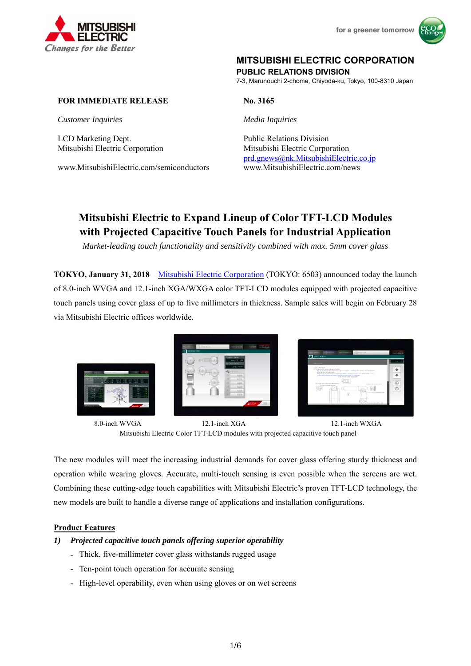



# **MITSUBISHI ELECTRIC CORPORATION**

**PUBLIC RELATIONS DIVISION** 

7-3, Marunouchi 2-chome, Chiyoda-ku, Tokyo, 100-8310 Japan

# **FOR IMMEDIATE RELEASE** No. 3165

*Customer Inquiries Media Inquiries*

LCD Marketing Dept. Public Relations Division

www.MitsubishiElectric.com/semiconductors www.MitsubishiElectric.com/news

Mitsubishi Electric Corporation Mitsubishi Electric Corporation prd.gnews@nk.MitsubishiElectric.co.jp

# **Mitsubishi Electric to Expand Lineup of Color TFT-LCD Modules with Projected Capacitive Touch Panels for Industrial Application**

*Market-leading touch functionality and sensitivity combined with max. 5mm cover glass* 

**TOKYO, January 31, 2018** – Mitsubishi Electric Corporation (TOKYO: 6503) announced today the launch of 8.0-inch WVGA and 12.1-inch XGA/WXGA color TFT-LCD modules equipped with projected capacitive touch panels using cover glass of up to five millimeters in thickness. Sample sales will begin on February 28 via Mitsubishi Electric offices worldwide.



8.0-inch WVGA 12.1-inch XGA 12.1-inch WXGA Mitsubishi Electric Color TFT-LCD modules with projected capacitive touch panel

The new modules will meet the increasing industrial demands for cover glass offering sturdy thickness and operation while wearing gloves. Accurate, multi-touch sensing is even possible when the screens are wet. Combining these cutting-edge touch capabilities with Mitsubishi Electric's proven TFT-LCD technology, the new models are built to handle a diverse range of applications and installation configurations.

#### **Product Features**

#### *1) Projected capacitive touch panels offering superior operability*

- Thick, five-millimeter cover glass withstands rugged usage
- Ten-point touch operation for accurate sensing
- High-level operability, even when using gloves or on wet screens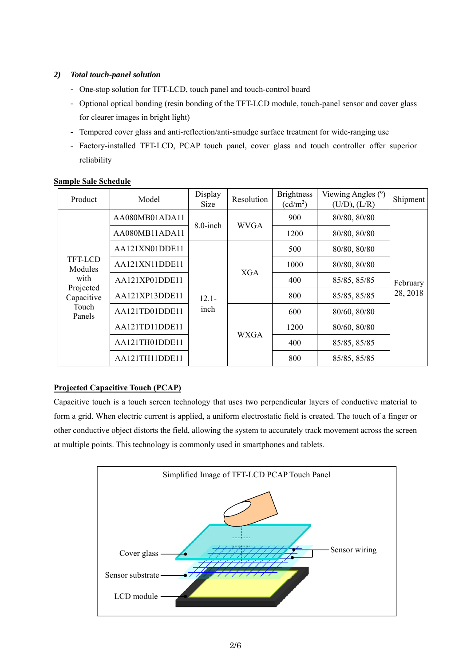# *2) Total touch-panel solution*

- One-stop solution for TFT-LCD, touch panel and touch-control board
- Optional optical bonding (resin bonding of the TFT-LCD module, touch-panel sensor and cover glass for clearer images in bright light)
- Tempered cover glass and anti-reflection/anti-smudge surface treatment for wide-ranging use
- Factory-installed TFT-LCD, PCAP touch panel, cover glass and touch controller offer superior reliability

| Product                                                                  | Model          | Display<br>Size  | Resolution  | <b>Brightness</b><br>$(cd/m^2)$ | Viewing Angles (°)<br>(U/D), (L/R) | Shipment             |  |
|--------------------------------------------------------------------------|----------------|------------------|-------------|---------------------------------|------------------------------------|----------------------|--|
|                                                                          | AA080MB01ADA11 | 8.0-inch         | <b>WVGA</b> | 900                             | 80/80, 80/80                       | February<br>28, 2018 |  |
|                                                                          | AA080MB11ADA11 |                  |             | 1200                            | 80/80, 80/80                       |                      |  |
| TFT-LCD<br>Modules<br>with<br>Projected<br>Capacitive<br>Touch<br>Panels | AA121XN01DDE11 | $12.1 -$<br>inch | <b>XGA</b>  | 500                             | 80/80, 80/80                       |                      |  |
|                                                                          | AA121XN11DDE11 |                  |             | 1000                            | 80/80, 80/80                       |                      |  |
|                                                                          | AA121XP01DDE11 |                  |             | 400                             | 85/85, 85/85                       |                      |  |
|                                                                          | AA121XP13DDE11 |                  |             | 800                             | 85/85, 85/85                       |                      |  |
|                                                                          | AA121TD01DDE11 |                  |             |                                 | 600                                | 80/60, 80/80         |  |
|                                                                          | AA121TD11DDE11 |                  |             | <b>WXGA</b>                     | 1200                               | 80/60, 80/80         |  |
|                                                                          | AA121TH01DDE11 |                  |             |                                 | 400                                | 85/85, 85/85         |  |
|                                                                          | AA121TH11DDE11 |                  |             | 800                             | 85/85, 85/85                       |                      |  |

### **Sample Sale Schedule**

# **Projected Capacitive Touch (PCAP)**

Capacitive touch is a touch screen technology that uses two perpendicular layers of conductive material to form a grid. When electric current is applied, a uniform electrostatic field is created. The touch of a finger or other conductive object distorts the field, allowing the system to accurately track movement across the screen at multiple points. This technology is commonly used in smartphones and tablets.

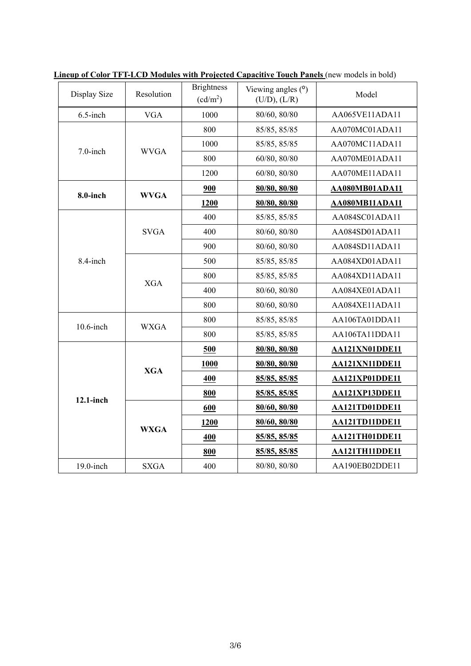| Display Size | Resolution  | <b>Brightness</b><br>$(cd/m^2)$ | Viewing angles $(°)$<br>(U/D), (L/R)                                                                                                                                                                                                                                                                                         | Model                 |
|--------------|-------------|---------------------------------|------------------------------------------------------------------------------------------------------------------------------------------------------------------------------------------------------------------------------------------------------------------------------------------------------------------------------|-----------------------|
| $6.5$ -inch  | <b>VGA</b>  | 1000                            | 80/60, 80/80                                                                                                                                                                                                                                                                                                                 | AA065VE11ADA11        |
|              |             | 800                             | 85/85, 85/85                                                                                                                                                                                                                                                                                                                 | AA070MC01ADA11        |
| $7.0$ -inch  | <b>WVGA</b> | 1000                            | 85/85, 85/85                                                                                                                                                                                                                                                                                                                 | AA070MC11ADA11        |
|              |             | 800                             | 60/80, 80/80                                                                                                                                                                                                                                                                                                                 | AA070ME01ADA11        |
|              |             | 1200                            | 60/80, 80/80<br>80/80, 80/80<br>80/80, 80/80<br>85/85, 85/85<br>80/60, 80/80<br>80/60, 80/80<br>85/85, 85/85<br>85/85, 85/85<br>80/60, 80/80<br>80/60, 80/80<br>85/85, 85/85<br>85/85, 85/85<br>80/80, 80/80<br>80/80, 80/80<br>85/85, 85/85<br>85/85, 85/85<br>80/60, 80/80<br>80/60, 80/80<br>85/85, 85/85<br>85/85, 85/85 | AA070ME11ADA11        |
|              |             | 900                             |                                                                                                                                                                                                                                                                                                                              | AA080MB01ADA11        |
| 8.0-inch     | <b>WVGA</b> | 1200                            |                                                                                                                                                                                                                                                                                                                              | AA080MB11ADA11        |
|              |             | 400                             |                                                                                                                                                                                                                                                                                                                              | AA084SC01ADA11        |
|              | <b>SVGA</b> | 400                             |                                                                                                                                                                                                                                                                                                                              | AA084SD01ADA11        |
|              |             | 900                             |                                                                                                                                                                                                                                                                                                                              | AA084SD11ADA11        |
| 8.4-inch     | <b>XGA</b>  | 500                             |                                                                                                                                                                                                                                                                                                                              | AA084XD01ADA11        |
|              |             | 800                             |                                                                                                                                                                                                                                                                                                                              | AA084XD11ADA11        |
|              |             | 400                             |                                                                                                                                                                                                                                                                                                                              | AA084XE01ADA11        |
|              |             | 800                             | 80/80, 80/80                                                                                                                                                                                                                                                                                                                 | AA084XE11ADA11        |
| $10.6$ -inch | <b>WXGA</b> | 800                             |                                                                                                                                                                                                                                                                                                                              | AA106TA01DDA11        |
|              |             | 800                             |                                                                                                                                                                                                                                                                                                                              | AA106TA11DDA11        |
|              |             | 500                             |                                                                                                                                                                                                                                                                                                                              | AA121XN01DDE11        |
|              | <b>XGA</b>  | <b>1000</b>                     |                                                                                                                                                                                                                                                                                                                              | AA121XN11DDE11        |
|              |             | 400                             |                                                                                                                                                                                                                                                                                                                              | AA121XP01DDE11        |
| 12.1-inch    |             | 800                             |                                                                                                                                                                                                                                                                                                                              | <b>AA121XP13DDE11</b> |
|              | <b>WXGA</b> | 600                             |                                                                                                                                                                                                                                                                                                                              | AA121TD01DDE11        |
|              |             | 1200                            |                                                                                                                                                                                                                                                                                                                              | AA121TD11DDE11        |
|              |             | 400                             |                                                                                                                                                                                                                                                                                                                              | AA121TH01DDE11        |
|              |             | 800                             |                                                                                                                                                                                                                                                                                                                              | AA121TH11DDE11        |
| $19.0$ -inch | <b>SXGA</b> | 400                             |                                                                                                                                                                                                                                                                                                                              | AA190EB02DDE11        |

**Lineup of Color TFT-LCD Modules with Projected Capacitive Touch Panels** (new models in bold)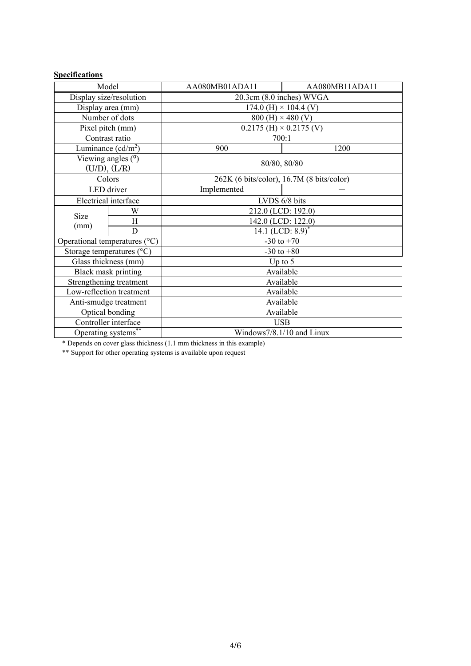# **Specifications**

| Model                                   |                         | AA080MB01ADA11                   | AA080MB11ADA11                            |  |  |
|-----------------------------------------|-------------------------|----------------------------------|-------------------------------------------|--|--|
| Display size/resolution                 |                         | 20.3cm (8.0 inches) WVGA         |                                           |  |  |
| Display area (mm)                       |                         | 174.0 (H) $\times$ 104.4 (V)     |                                           |  |  |
| Number of dots                          |                         | $800$ (H) $\times$ 480 (V)       |                                           |  |  |
| Pixel pitch (mm)                        |                         | $0.2175$ (H) $\times$ 0.2175 (V) |                                           |  |  |
| Contrast ratio                          |                         | 700:1                            |                                           |  |  |
| Luminance $(cd/m^2)$                    |                         | 900                              | 1200                                      |  |  |
| Viewing angles (°)<br>$(U/D)$ , $(L/R)$ |                         | 80/80, 80/80                     |                                           |  |  |
|                                         | Colors                  |                                  | 262K (6 bits/color), 16.7M (8 bits/color) |  |  |
|                                         | LED driver              | Implemented                      |                                           |  |  |
| Electrical interface                    |                         | LVDS 6/8 bits                    |                                           |  |  |
|                                         | W                       | 212.0 (LCD: 192.0)               |                                           |  |  |
| <b>Size</b>                             | H                       | 142.0 (LCD: 122.0)               |                                           |  |  |
| (mm)                                    | D                       | 14.1 (LCD: $8.9$ ) <sup>*</sup>  |                                           |  |  |
| Operational temperatures (°C)           |                         | $-30$ to $+70$                   |                                           |  |  |
| Storage temperatures (°C)               |                         | $-30$ to $+80$                   |                                           |  |  |
|                                         | Glass thickness (mm)    | Up to $5$                        |                                           |  |  |
|                                         | Black mask printing     | Available                        |                                           |  |  |
|                                         | Strengthening treatment | Available                        |                                           |  |  |
| Low-reflection treatment                |                         | Available                        |                                           |  |  |
| Anti-smudge treatment                   |                         | Available                        |                                           |  |  |
| Optical bonding                         |                         | Available                        |                                           |  |  |
| Controller interface                    |                         | <b>USB</b>                       |                                           |  |  |
| Operating systems <sup>7</sup>          |                         | Windows7/8.1/10 and Linux        |                                           |  |  |

\* Depends on cover glass thickness (1.1 mm thickness in this example)

\*\* Support for other operating systems is available upon request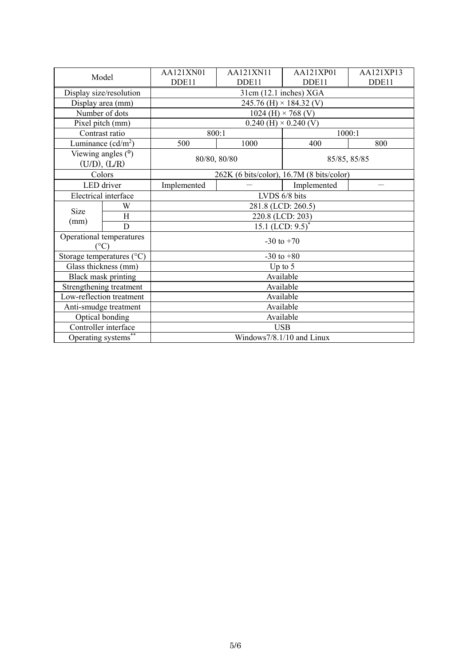| Model                     |                      | AA121XN01                                 | AA121XN11                       | AA121XP01    | AA121XP13 |  |  |
|---------------------------|----------------------|-------------------------------------------|---------------------------------|--------------|-----------|--|--|
|                           |                      | DDE11                                     | DDE11                           | DDE11        | DDE11     |  |  |
| Display size/resolution   |                      | 31cm (12.1 inches) XGA                    |                                 |              |           |  |  |
|                           | Display area (mm)    | 245.76 (H) $\times$ 184.32 (V)            |                                 |              |           |  |  |
|                           | Number of dots       | 1024 (H) $\times$ 768 (V)                 |                                 |              |           |  |  |
| Pixel pitch (mm)          |                      | $0.240$ (H) $\times$ 0.240 (V)            |                                 |              |           |  |  |
|                           | Contrast ratio       | 800:1                                     |                                 | 1000:1       |           |  |  |
|                           | Luminance $(cd/m^2)$ | 500                                       | 1000                            | 400          | 800       |  |  |
|                           | Viewing angles $(°)$ |                                           |                                 |              |           |  |  |
| $(U/D)$ , $(L/R)$         |                      | 80/80, 80/80                              |                                 | 85/85, 85/85 |           |  |  |
|                           | Colors               | 262K (6 bits/color), 16.7M (8 bits/color) |                                 |              |           |  |  |
| LED driver                |                      | Implemented                               |                                 | Implemented  |           |  |  |
|                           | Electrical interface | LVDS 6/8 bits                             |                                 |              |           |  |  |
| W                         |                      | 281.8 (LCD: 260.5)                        |                                 |              |           |  |  |
| Size<br>(mm)              | H                    | 220.8 (LCD: 203)                          |                                 |              |           |  |  |
|                           | D                    |                                           | 15.1 (LCD: $9.5$ ) <sup>*</sup> |              |           |  |  |
| Operational temperatures  |                      | $-30$ to $+70$                            |                                 |              |           |  |  |
| $(^{\circ}C)$             |                      |                                           |                                 |              |           |  |  |
| Storage temperatures (°C) |                      | $-30$ to $+80$                            |                                 |              |           |  |  |
| Glass thickness (mm)      |                      | Up to $5$                                 |                                 |              |           |  |  |
|                           | Black mask printing  | Available                                 |                                 |              |           |  |  |
| Strengthening treatment   |                      | Available                                 |                                 |              |           |  |  |
| Low-reflection treatment  |                      | Available                                 |                                 |              |           |  |  |
| Anti-smudge treatment     |                      | Available                                 |                                 |              |           |  |  |
| Optical bonding           |                      | Available                                 |                                 |              |           |  |  |
| Controller interface      |                      | <b>USB</b>                                |                                 |              |           |  |  |
| Operating systems**       |                      | Windows7/8.1/10 and Linux                 |                                 |              |           |  |  |